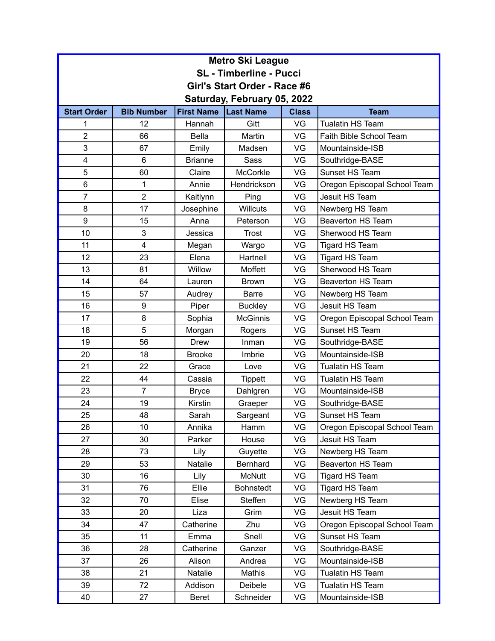| <b>Metro Ski League</b>        |                   |                   |                  |              |                              |  |
|--------------------------------|-------------------|-------------------|------------------|--------------|------------------------------|--|
| <b>SL</b> - Timberline - Pucci |                   |                   |                  |              |                              |  |
| Girl's Start Order - Race #6   |                   |                   |                  |              |                              |  |
| Saturday, February 05, 2022    |                   |                   |                  |              |                              |  |
| <b>Start Order</b>             | <b>Bib Number</b> | <b>First Name</b> | <b>Last Name</b> | <b>Class</b> | <b>Team</b>                  |  |
| 1                              | 12                | Hannah            | Gitt             | VG           | <b>Tualatin HS Team</b>      |  |
| $\overline{2}$                 | 66                | <b>Bella</b>      | Martin           | VG           | Faith Bible School Team      |  |
| 3                              | 67                | Emily             | Madsen           | VG           | Mountainside-ISB             |  |
| 4                              | 6                 | <b>Brianne</b>    | Sass             | VG           | Southridge-BASE              |  |
| 5                              | 60                | Claire            | <b>McCorkle</b>  | VG           | Sunset HS Team               |  |
| 6                              | 1                 | Annie             | Hendrickson      | VG           | Oregon Episcopal School Team |  |
| $\overline{7}$                 | $\overline{2}$    | Kaitlynn          | Ping             | VG           | Jesuit HS Team               |  |
| 8                              | 17                | Josephine         | <b>Willcuts</b>  | VG           | Newberg HS Team              |  |
| 9                              | 15                | Anna              | Peterson         | VG           | <b>Beaverton HS Team</b>     |  |
| 10                             | 3                 | Jessica           | Trost            | VG           | Sherwood HS Team             |  |
| 11                             | 4                 | Megan             | Wargo            | VG           | Tigard HS Team               |  |
| 12                             | 23                | Elena             | Hartnell         | VG           | Tigard HS Team               |  |
| 13                             | 81                | Willow            | Moffett          | VG           | Sherwood HS Team             |  |
| 14                             | 64                | Lauren            | <b>Brown</b>     | VG           | <b>Beaverton HS Team</b>     |  |
| 15                             | 57                | Audrey            | <b>Barre</b>     | VG           | Newberg HS Team              |  |
| 16                             | 9                 | Piper             | <b>Buckley</b>   | VG           | Jesuit HS Team               |  |
| 17                             | 8                 | Sophia            | <b>McGinnis</b>  | VG           | Oregon Episcopal School Team |  |
| 18                             | 5                 | Morgan            | Rogers           | VG           | Sunset HS Team               |  |
| 19                             | 56                | <b>Drew</b>       | Inman            | VG           | Southridge-BASE              |  |
| 20                             | 18                | <b>Brooke</b>     | Imbrie           | VG           | Mountainside-ISB             |  |
| 21                             | 22                | Grace             | Love             | VG           | <b>Tualatin HS Team</b>      |  |
| 22                             | 44                | Cassia            | Tippett          | VG           | <b>Tualatin HS Team</b>      |  |
| 23                             | $\overline{7}$    | <b>Bryce</b>      | Dahlgren         | VG           | Mountainside-ISB             |  |
| 24                             | 19                | Kirstin           | Graeper          | VG           | Southridge-BASE              |  |
| 25                             | 48                | Sarah             | Sargeant         | VG           | Sunset HS Team               |  |
| 26                             | 10                | Annika            | Hamm             | VG           | Oregon Episcopal School Team |  |
| 27                             | 30                | Parker            | House            | VG           | Jesuit HS Team               |  |
| 28                             | 73                | Lily              | Guyette          | VG           | Newberg HS Team              |  |
| 29                             | 53                | Natalie           | Bernhard         | VG           | Beaverton HS Team            |  |
| 30                             | 16                | Lily              | <b>McNutt</b>    | VG           | Tigard HS Team               |  |
| 31                             | 76                | Ellie             | <b>Bohnstedt</b> | VG           | <b>Tigard HS Team</b>        |  |
| 32                             | 70                | Elise             | Steffen          | VG           | Newberg HS Team              |  |
| 33                             | 20                | Liza              | Grim             | VG           | Jesuit HS Team               |  |
| 34                             | 47                | Catherine         | Zhu              | VG           | Oregon Episcopal School Team |  |
| 35                             | 11                | Emma              | Snell            | VG           | Sunset HS Team               |  |
| 36                             | 28                | Catherine         | Ganzer           | VG           | Southridge-BASE              |  |
| 37                             | 26                | Alison            | Andrea           | VG           | Mountainside-ISB             |  |
| 38                             | 21                | Natalie           | Mathis           | VG           | Tualatin HS Team             |  |
| 39                             | 72                | Addison           | Deibele          | VG           | Tualatin HS Team             |  |
| 40                             | 27                | <b>Beret</b>      | Schneider        | VG           | Mountainside-ISB             |  |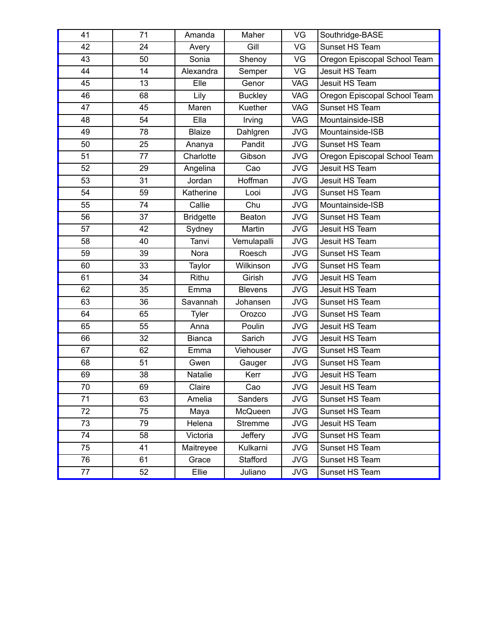| 41              | 71 | Amanda           | Maher          | VG         | Southridge-BASE              |
|-----------------|----|------------------|----------------|------------|------------------------------|
| 42              | 24 | Avery            | Gill           | VG         | Sunset HS Team               |
| 43              | 50 | Sonia            | Shenoy         | VG         | Oregon Episcopal School Team |
| 44              | 14 | Alexandra        | Semper         | VG         | Jesuit HS Team               |
| 45              | 13 | Elle             | Genor          | <b>VAG</b> | Jesuit HS Team               |
| 46              | 68 | Lily             | <b>Buckley</b> | <b>VAG</b> | Oregon Episcopal School Team |
| 47              | 45 | Maren            | Kuether        | <b>VAG</b> | Sunset HS Team               |
| 48              | 54 | Ella             | Irving         | <b>VAG</b> | Mountainside-ISB             |
| 49              | 78 | <b>Blaize</b>    | Dahlgren       | <b>JVG</b> | Mountainside-ISB             |
| 50              | 25 | Ananya           | Pandit         | <b>JVG</b> | Sunset HS Team               |
| 51              | 77 | Charlotte        | Gibson         | <b>JVG</b> | Oregon Episcopal School Team |
| 52              | 29 | Angelina         | Cao            | <b>JVG</b> | Jesuit HS Team               |
| 53              | 31 | Jordan           | Hoffman        | <b>JVG</b> | Jesuit HS Team               |
| $\overline{54}$ | 59 | Katherine        | Looi           | <b>JVG</b> | Sunset HS Team               |
| 55              | 74 | Callie           | Chu            | <b>JVG</b> | Mountainside-ISB             |
| 56              | 37 | <b>Bridgette</b> | <b>Beaton</b>  | <b>JVG</b> | Sunset HS Team               |
| 57              | 42 | Sydney           | Martin         | <b>JVG</b> | Jesuit HS Team               |
| 58              | 40 | Tanvi            | Vemulapalli    | <b>JVG</b> | Jesuit HS Team               |
| 59              | 39 | Nora             | Roesch         | <b>JVG</b> | Sunset HS Team               |
| 60              | 33 | Taylor           | Wilkinson      | <b>JVG</b> | Sunset HS Team               |
| 61              | 34 | Rithu            | Girish         | <b>JVG</b> | Jesuit HS Team               |
| 62              | 35 | Emma             | <b>Blevens</b> | <b>JVG</b> | Jesuit HS Team               |
| 63              | 36 | Savannah         | Johansen       | <b>JVG</b> | Sunset HS Team               |
| 64              | 65 | Tyler            | Orozco         | <b>JVG</b> | Sunset HS Team               |
| 65              | 55 | Anna             | Poulin         | <b>JVG</b> | Jesuit HS Team               |
| 66              | 32 | <b>Bianca</b>    | Sarich         | <b>JVG</b> | Jesuit HS Team               |
| 67              | 62 | Emma             | Viehouser      | <b>JVG</b> | Sunset HS Team               |
| 68              | 51 | Gwen             | Gauger         | <b>JVG</b> | Sunset HS Team               |
| 69              | 38 | Natalie          | Kerr           | <b>JVG</b> | Jesuit HS Team               |
| 70              | 69 | Claire           | Cao            | <b>JVG</b> | Jesuit HS Team               |
| 71              | 63 | Amelia           | Sanders        | <b>JVG</b> | Sunset HS Team               |
| 72              | 75 | Maya             | McQueen        | <b>JVG</b> | Sunset HS Team               |
| 73              | 79 | Helena           | Stremme        | <b>JVG</b> | Jesuit HS Team               |
| 74              | 58 | Victoria         | Jeffery        | <b>JVG</b> | Sunset HS Team               |
| 75              | 41 | Maitreyee        | Kulkarni       | <b>JVG</b> | Sunset HS Team               |
| 76              | 61 | Grace            | Stafford       | <b>JVG</b> | Sunset HS Team               |
| 77              | 52 | Ellie            | Juliano        | <b>JVG</b> | Sunset HS Team               |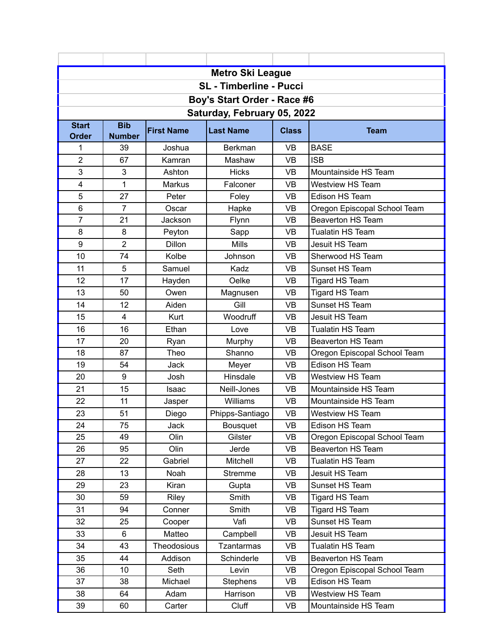| <b>Metro Ski League</b>        |                |                   |                   |              |                              |  |  |
|--------------------------------|----------------|-------------------|-------------------|--------------|------------------------------|--|--|
| <b>SL</b> - Timberline - Pucci |                |                   |                   |              |                              |  |  |
| Boy's Start Order - Race #6    |                |                   |                   |              |                              |  |  |
| Saturday, February 05, 2022    |                |                   |                   |              |                              |  |  |
| <b>Start</b>                   | <b>Bib</b>     | <b>First Name</b> |                   |              |                              |  |  |
| Order                          | <b>Number</b>  |                   | <b>Last Name</b>  | <b>Class</b> | <b>Team</b>                  |  |  |
| 1                              | 39             | Joshua            | <b>Berkman</b>    | <b>VB</b>    | <b>BASE</b>                  |  |  |
| $\overline{2}$                 | 67             | Kamran            | Mashaw            | <b>VB</b>    | <b>ISB</b>                   |  |  |
| 3                              | 3              | Ashton            | <b>Hicks</b>      | VB           | Mountainside HS Team         |  |  |
| 4                              | 1              | Markus            | Falconer          | <b>VB</b>    | <b>Westview HS Team</b>      |  |  |
| 5                              | 27             | Peter             | Foley             | <b>VB</b>    | Edison HS Team               |  |  |
| 6                              | $\overline{7}$ | Oscar             | Hapke             | <b>VB</b>    | Oregon Episcopal School Team |  |  |
| $\overline{7}$                 | 21             | Jackson           | Flynn             | <b>VB</b>    | <b>Beaverton HS Team</b>     |  |  |
| 8                              | 8              | Peyton            | Sapp              | <b>VB</b>    | <b>Tualatin HS Team</b>      |  |  |
| $\boldsymbol{9}$               | $\overline{2}$ | Dillon            | <b>Mills</b>      | <b>VB</b>    | Jesuit HS Team               |  |  |
| 10                             | 74             | Kolbe             | Johnson           | <b>VB</b>    | Sherwood HS Team             |  |  |
| 11                             | 5              | Samuel            | Kadz              | <b>VB</b>    | Sunset HS Team               |  |  |
| 12                             | 17             | Hayden            | Oelke             | <b>VB</b>    | <b>Tigard HS Team</b>        |  |  |
| 13                             | 50             | Owen              | Magnusen          | <b>VB</b>    | Tigard HS Team               |  |  |
| 14                             | 12             | Aiden             | Gill              | <b>VB</b>    | Sunset HS Team               |  |  |
| 15                             | $\overline{4}$ | Kurt              | Woodruff          | <b>VB</b>    | Jesuit HS Team               |  |  |
| 16                             | 16             | Ethan             | Love              | <b>VB</b>    | <b>Tualatin HS Team</b>      |  |  |
| 17                             | 20             | Ryan              | Murphy            | <b>VB</b>    | <b>Beaverton HS Team</b>     |  |  |
| 18                             | 87             | Theo              | Shanno            | <b>VB</b>    | Oregon Episcopal School Team |  |  |
| 19                             | 54             | <b>Jack</b>       | Meyer             | <b>VB</b>    | Edison HS Team               |  |  |
| 20                             | 9              | Josh              | Hinsdale          | <b>VB</b>    | <b>Westview HS Team</b>      |  |  |
| 21                             | 15             | Isaac             | Neill-Jones       | <b>VB</b>    | Mountainside HS Team         |  |  |
| 22                             | 11             | Jasper            | Williams          | <b>VB</b>    | Mountainside HS Team         |  |  |
| 23                             | 51             | Diego             | Phipps-Santiago   | <b>VB</b>    | <b>Westview HS Team</b>      |  |  |
| 24                             | 75             | Jack              | Bousquet          | VB           | Edison HS Team               |  |  |
| 25                             | 49             | Olin              | Gilster           | <b>VB</b>    | Oregon Episcopal School Team |  |  |
| 26                             | 95             | Olin              | Jerde             | VB           | <b>Beaverton HS Team</b>     |  |  |
| 27                             | 22             | Gabriel           | Mitchell          | VB           | Tualatin HS Team             |  |  |
| 28                             | 13             | Noah              | <b>Stremme</b>    | VB           | Jesuit HS Team               |  |  |
| 29                             | 23             | Kiran             | Gupta             | VB           | Sunset HS Team               |  |  |
| 30                             | 59             | Riley             | Smith             | VB           | Tigard HS Team               |  |  |
| 31                             | 94             | Conner            | Smith             | VB           | Tigard HS Team               |  |  |
| 32                             | 25             | Cooper            | Vafi              | VB           | Sunset HS Team               |  |  |
| 33                             | 6              | Matteo            | Campbell          | VB           | Jesuit HS Team               |  |  |
| 34                             | 43             | Theodosious       | <b>Tzantarmas</b> | VB           | <b>Tualatin HS Team</b>      |  |  |
| 35                             | 44             | Addison           | Schinderle        | VB           | <b>Beaverton HS Team</b>     |  |  |
| 36                             | 10             | Seth              | Levin             | VB           | Oregon Episcopal School Team |  |  |
| 37                             | 38             | Michael           | <b>Stephens</b>   | VB           | Edison HS Team               |  |  |
| 38                             | 64             | Adam              | Harrison          | <b>VB</b>    | <b>Westview HS Team</b>      |  |  |
| 39                             | 60             | Carter            | Cluff             | VB           | Mountainside HS Team         |  |  |